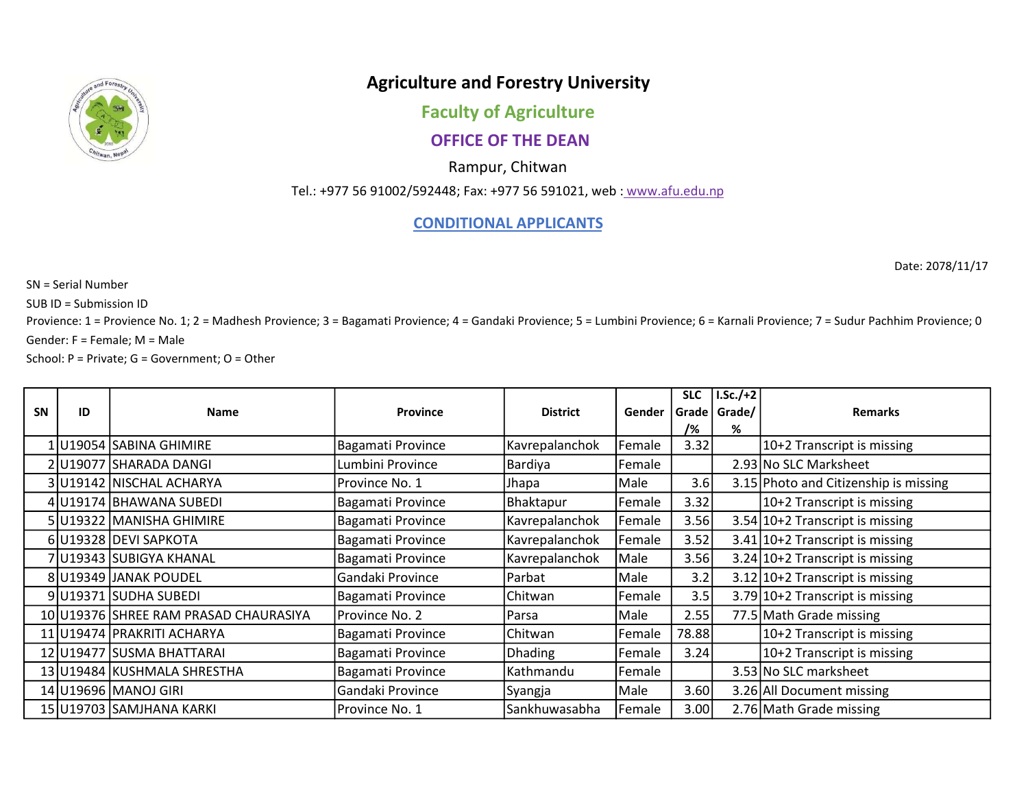

## Agriculture and Forestry University

Faculty of Agriculture

## OFFICE OF THE DEAN

Rampur, Chitwan

Tel.: +977 56 91002/592448; Fax: +977 56 591021, web : www.afu.edu.np

## CONDITIONAL APPLICANTS

Date: 2078/11/17

SN = Serial Number

SUB ID = Submission ID

Provience: 1 = Provience No. 1; 2 = Madhesh Provience; 3 = Bagamati Provience; 4 = Gandaki Provience; 5 = Lumbini Provience; 6 = Karnali Provience; 7 = Sudur Pachhim Provience; 0  $Gender: F = Female; M = Male$ 

School: P = Private; G = Government; O = Other

|           |    |                                       |                          |                 |        | <b>SLC</b> | $LSc./+2$ |                                       |
|-----------|----|---------------------------------------|--------------------------|-----------------|--------|------------|-----------|---------------------------------------|
| <b>SN</b> | ID | <b>Name</b>                           | <b>Province</b>          | <b>District</b> | Gender | Grade      | Grade/    | <b>Remarks</b>                        |
|           |    |                                       |                          |                 |        | /%         | %         |                                       |
|           |    | 1 U19054 SABINA GHIMIRE               | <b>Bagamati Province</b> | Kavrepalanchok  | Female | 3.32       |           | 10+2 Transcript is missing            |
|           |    | 2 U19077 SHARADA DANGI                | Lumbini Province         | Bardiya         | Female |            |           | 2.93 No SLC Marksheet                 |
|           |    | 3 U19142 NISCHAL ACHARYA              | Province No. 1           | Jhapa           | Male   | 3.6        |           | 3.15 Photo and Citizenship is missing |
|           |    | 4 U19174 BHAWANA SUBEDI               | Bagamati Province        | Bhaktapur       | Female | 3.32       |           | 10+2 Transcript is missing            |
|           |    | 5 U19322 MANISHA GHIMIRE              | Bagamati Province        | Kavrepalanchok  | Female | 3.56       |           | $3.54$   10+2 Transcript is missing   |
|           |    | 6 U19328 DEVI SAPKOTA                 | <b>Bagamati Province</b> | Kavrepalanchok  | Female | 3.52       |           | $3.41$  10+2 Transcript is missing    |
|           |    | 7 U19343 SUBIGYA KHANAL               | Bagamati Province        | Kavrepalanchok  | Male   | 3.56       |           | $3.24$  10+2 Transcript is missing    |
|           |    | 8 U19349 JANAK POUDEL                 | Gandaki Province         | Parbat          | Male   | 3.2        |           | $3.12$  10+2 Transcript is missing    |
|           |    | 9 U19371 SUDHA SUBEDI                 | Bagamati Province        | Chitwan         | Female | 3.5        |           | 3.79 10+2 Transcript is missing       |
|           |    | 10 U19376 SHREE RAM PRASAD CHAURASIYA | Province No. 2           | Parsa           | Male   | 2.55       |           | 77.5 Math Grade missing               |
|           |    | 11 U19474 PRAKRITI ACHARYA            | Bagamati Province        | Chitwan         | Female | 78.88      |           | 10+2 Transcript is missing            |
|           |    | 12 U19477 SUSMA BHATTARAI             | Bagamati Province        | <b>Dhading</b>  | Female | 3.24       |           | 10+2 Transcript is missing            |
|           |    | 13 U19484 KUSHMALA SHRESTHA           | Bagamati Province        | Kathmandu       | Female |            |           | 3.53 No SLC marksheet                 |
|           |    | 14 U19696 MANOJ GIRI                  | Gandaki Province         | Syangja         | Male   | 3.60       |           | 3.26 All Document missing             |
|           |    | 15 U19703 SAMJHANA KARKI              | Province No. 1           | Sankhuwasabha   | Female | 3.00       |           | 2.76 Math Grade missing               |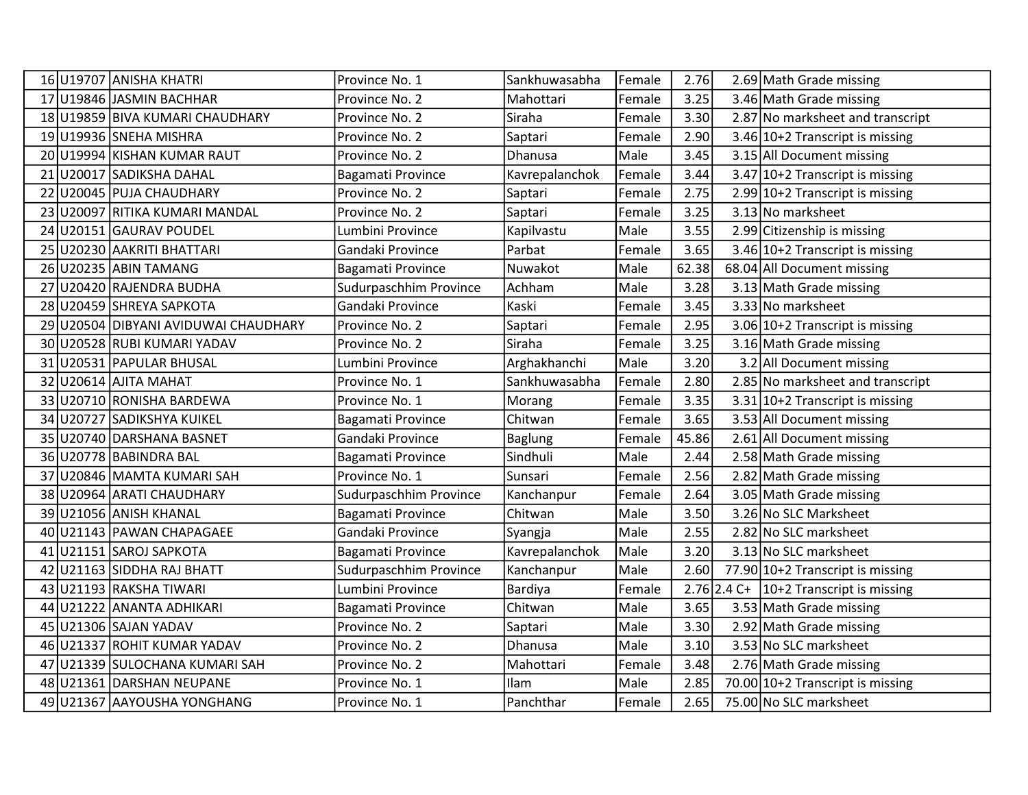|    | 16 U19707 ANISHA KHATRI           | Province No. 1           | Sankhuwasabha  | Female | 2.76  | 2.69 Math Grade missing                        |
|----|-----------------------------------|--------------------------|----------------|--------|-------|------------------------------------------------|
|    | 17 U19846 JASMIN BACHHAR          | Province No. 2           | Mahottari      | Female | 3.25  | 3.46 Math Grade missing                        |
| 18 | U19859 BIVA KUMARI CHAUDHARY      | Province No. 2           | Siraha         | Female | 3.30  | 2.87 No marksheet and transcript               |
|    | 19 U19936 SNEHA MISHRA            | Province No. 2           | Saptari        | Female | 2.90  | 3.46 10+2 Transcript is missing                |
|    | 20 U19994 KISHAN KUMAR RAUT       | Province No. 2           | Dhanusa        | Male   | 3.45  | 3.15 All Document missing                      |
| 21 | U20017 SADIKSHA DAHAL             | Bagamati Province        | Kavrepalanchok | Female | 3.44  | $3.47$  10+2 Transcript is missing             |
| 22 | U20045 PUJA CHAUDHARY             | Province No. 2           | Saptari        | Female | 2.75  | 2.99 10+2 Transcript is missing                |
| 23 | U20097 RITIKA KUMARI MANDAL       | Province No. 2           | Saptari        | Female | 3.25  | 3.13 No marksheet                              |
| 24 | U20151 GAURAV POUDEL              | Lumbini Province         | Kapilvastu     | Male   | 3.55  | 2.99 Citizenship is missing                    |
| 25 | U20230 AAKRITI BHATTARI           | Gandaki Province         | Parbat         | Female | 3.65  | 3.46 $10+2$ Transcript is missing              |
| 26 | U20235 ABIN TAMANG                | Bagamati Province        | Nuwakot        | Male   | 62.38 | 68.04 All Document missing                     |
| 27 | U20420 RAJENDRA BUDHA             | Sudurpaschhim Province   | Achham         | Male   | 3.28  | 3.13 Math Grade missing                        |
| 28 | U20459 SHREYA SAPKOTA             | Gandaki Province         | Kaski          | Female | 3.45  | 3.33 No marksheet                              |
| 29 | U20504 DIBYANI AVIDUWAI CHAUDHARY | Province No. 2           | Saptari        | Female | 2.95  | 3.06 10+2 Transcript is missing                |
| 30 | U20528 RUBI KUMARI YADAV          | Province No. 2           | Siraha         | Female | 3.25  | 3.16 Math Grade missing                        |
| 31 | U20531 PAPULAR BHUSAL             | Lumbini Province         | Arghakhanchi   | Male   | 3.20  | 3.2 All Document missing                       |
|    | 32 U20614 AJITA MAHAT             | Province No. 1           | Sankhuwasabha  | Female | 2.80  | 2.85 No marksheet and transcript               |
| 33 | U20710 RONISHA BARDEWA            | Province No. 1           | Morang         | Female | 3.35  | $3.31 10+2$ Transcript is missing              |
| 34 | U20727 SADIKSHYA KUIKEL           | Bagamati Province        | Chitwan        | Female | 3.65  | 3.53 All Document missing                      |
|    | 35 U20740 DARSHANA BASNET         | Gandaki Province         | Baglung        | Female | 45.86 | 2.61 All Document missing                      |
| 36 | U20778 BABINDRA BAL               | Bagamati Province        | Sindhuli       | Male   | 2.44  | 2.58 Math Grade missing                        |
| 37 | U20846 MAMTA KUMARI SAH           | Province No. 1           | Sunsari        | Female | 2.56  | 2.82 Math Grade missing                        |
| 38 | U20964 ARATI CHAUDHARY            | Sudurpaschhim Province   | Kanchanpur     | Female | 2.64  | 3.05 Math Grade missing                        |
| 39 | U21056 ANISH KHANAL               | <b>Bagamati Province</b> | Chitwan        | Male   | 3.50  | 3.26 No SLC Marksheet                          |
| 40 | U21143 PAWAN CHAPAGAEE            | Gandaki Province         | Syangja        | Male   | 2.55  | 2.82 No SLC marksheet                          |
| 41 | U21151 SAROJ SAPKOTA              | Bagamati Province        | Kavrepalanchok | Male   | 3.20  | 3.13 No SLC marksheet                          |
| 42 | U21163 SIDDHA RAJ BHATT           | Sudurpaschhim Province   | Kanchanpur     | Male   | 2.60  | 77.90 10+2 Transcript is missing               |
| 43 | U21193 RAKSHA TIWARI              | Lumbini Province         | <b>Bardiya</b> | Female |       | 2.76 2.4 C+ $\vert$ 10+2 Transcript is missing |
| 44 | U21222 ANANTA ADHIKARI            | Bagamati Province        | Chitwan        | Male   | 3.65  | 3.53 Math Grade missing                        |
| 45 | U21306 SAJAN YADAV                | Province No. 2           | Saptari        | Male   | 3.30  | 2.92 Math Grade missing                        |
| 46 | U21337 ROHIT KUMAR YADAV          | Province No. 2           | Dhanusa        | Male   | 3.10  | 3.53 No SLC marksheet                          |
| 47 | U21339  SULOCHANA KUMARI SAH      | Province No. 2           | Mahottari      | Female | 3.48  | 2.76 Math Grade missing                        |
| 48 | U21361 DARSHAN NEUPANE            | Province No. 1           | Ilam           | Male   | 2.85  | 70.00 $10+2$ Transcript is missing             |
|    | 49 U21367 AAYOUSHA YONGHANG       | Province No. 1           | Panchthar      | Female | 2.65  | 75.00 No SLC marksheet                         |